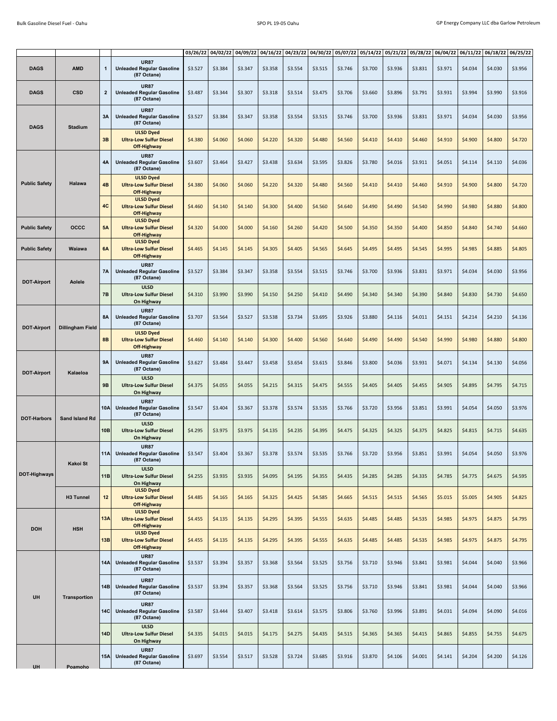|                      |                     |              |                                                                   | 03/26/22 | 04/02/22 | 04/09/22 | 04/16/22 | 04/23/22 | 04/30/22 | 05/07/22 | 05/14/22 | 05/21/22 | 05/28/22 | 06/04/22 | 06/11/22 | 06/18/22 | 06/25/22 |
|----------------------|---------------------|--------------|-------------------------------------------------------------------|----------|----------|----------|----------|----------|----------|----------|----------|----------|----------|----------|----------|----------|----------|
| <b>DAGS</b>          | <b>AMD</b>          | 1            | <b>UR87</b><br><b>Unleaded Regular Gasoline</b><br>(87 Octane)    | \$3.527  | \$3.384  | \$3.347  | \$3.358  | \$3.554  | \$3.515  | \$3.746  | \$3.700  | \$3.936  | \$3.831  | \$3.971  | \$4.034  | \$4.030  | \$3.956  |
| <b>DAGS</b>          | <b>CSD</b>          | $\mathbf{2}$ | <b>UR87</b><br><b>Unleaded Regular Gasoline</b><br>(87 Octane)    | \$3.487  | \$3.344  | \$3.307  | \$3.318  | \$3.514  | \$3.475  | \$3.706  | \$3.660  | \$3.896  | \$3.791  | \$3.931  | \$3.994  | \$3.990  | \$3.916  |
| <b>DAGS</b>          | <b>Stadium</b>      | 3A           | <b>UR87</b><br><b>Unleaded Regular Gasoline</b><br>(87 Octane)    | \$3.527  | \$3.384  | \$3.347  | \$3.358  | \$3.554  | \$3.515  | \$3.746  | \$3.700  | \$3.936  | \$3.831  | \$3.971  | \$4.034  | \$4.030  | \$3.956  |
|                      |                     | 3B           | <b>ULSD Dyed</b><br><b>Ultra-Low Sulfur Diesel</b><br>Off-Highway | \$4.380  | \$4.060  | \$4.060  | \$4.220  | \$4.320  | \$4.480  | \$4.560  | \$4.410  | \$4.410  | \$4.460  | \$4.910  | \$4.900  | \$4.800  | \$4.720  |
| <b>Public Safety</b> | Halawa              | 4Α           | <b>UR87</b><br><b>Unleaded Regular Gasoline</b><br>(87 Octane)    | \$3.607  | \$3.464  | \$3.427  | \$3.438  | \$3.634  | \$3.595  | \$3.826  | \$3.780  | \$4.016  | \$3.911  | \$4.051  | \$4.114  | \$4.110  | \$4.036  |
|                      |                     | 4B           | <b>ULSD Dyed</b><br><b>Ultra-Low Sulfur Diesel</b><br>Off-Highway | \$4.380  | \$4.060  | \$4.060  | \$4.220  | \$4.320  | \$4.480  | \$4.560  | \$4.410  | \$4.410  | \$4.460  | \$4.910  | \$4.900  | \$4.800  | \$4.720  |
|                      |                     | 4C           | <b>ULSD Dyed</b><br><b>Ultra-Low Sulfur Diesel</b><br>Off-Highway | \$4.460  | \$4.140  | \$4.140  | \$4.300  | \$4.400  | \$4.560  | \$4.640  | \$4.490  | \$4.490  | \$4.540  | \$4.990  | \$4.980  | \$4.880  | \$4.800  |
| <b>Public Safety</b> | <b>OCCC</b>         | 5Α           | <b>ULSD Dyed</b><br><b>Ultra-Low Sulfur Diesel</b><br>Off-Highway | \$4.320  | \$4.000  | \$4.000  | \$4.160  | \$4.260  | \$4.420  | \$4.500  | \$4.350  | \$4.350  | \$4.400  | \$4.850  | \$4.840  | \$4.740  | \$4.660  |
| <b>Public Safety</b> | Waiawa              | 6A           | <b>ULSD Dyed</b><br><b>Ultra-Low Sulfur Diesel</b><br>Off-Highway | \$4.465  | \$4.145  | \$4.145  | \$4.305  | \$4.405  | \$4.565  | \$4.645  | \$4.495  | \$4.495  | \$4.545  | \$4.995  | \$4.985  | \$4.885  | \$4.805  |
| <b>DOT-Airport</b>   | Aolele              | 7A           | <b>UR87</b><br><b>Unleaded Regular Gasoline</b><br>(87 Octane)    | \$3.527  | \$3.384  | \$3.347  | \$3.358  | \$3.554  | \$3.515  | \$3.746  | \$3.700  | \$3.936  | \$3.831  | \$3.971  | \$4.034  | \$4.030  | \$3.956  |
|                      |                     | 7B           | <b>ULSD</b><br><b>Ultra-Low Sulfur Diesel</b><br>On Highway       | \$4.310  | \$3.990  | \$3.990  | \$4.150  | \$4.250  | \$4.410  | \$4.490  | \$4.340  | \$4.340  | \$4.390  | \$4.840  | \$4.830  | \$4.730  | \$4.650  |
| <b>DOT-Airport</b>   | Dillingham Field    | <b>8A</b>    | <b>UR87</b><br><b>Unleaded Regular Gasoline</b><br>(87 Octane)    | \$3.707  | \$3.564  | \$3.527  | \$3.538  | \$3.734  | \$3.695  | \$3.926  | \$3.880  | \$4.116  | \$4.011  | \$4.151  | \$4.214  | \$4.210  | \$4.136  |
|                      |                     | 8B           | <b>ULSD Dyed</b><br><b>Ultra-Low Sulfur Diesel</b><br>Off-Highway | \$4.460  | \$4.140  | \$4.140  | \$4.300  | \$4.400  | \$4.560  | \$4.640  | \$4.490  | \$4.490  | \$4.540  | \$4.990  | \$4.980  | \$4.880  | \$4.800  |
| <b>DOT-Airport</b>   | Kalaeloa            | 9A           | <b>UR87</b><br><b>Unleaded Regular Gasoline</b><br>(87 Octane)    | \$3.627  | \$3.484  | \$3.447  | \$3.458  | \$3.654  | \$3.615  | \$3.846  | \$3.800  | \$4.036  | \$3.931  | \$4.071  | \$4.134  | \$4.130  | \$4.056  |
|                      |                     | 9B           | <b>ULSD</b><br><b>Ultra-Low Sulfur Diesel</b><br>On Highway       | \$4.375  | \$4.055  | \$4.055  | \$4.215  | \$4.315  | \$4.475  | \$4.555  | \$4.405  | \$4.405  | \$4.455  | \$4.905  | \$4.895  | \$4.795  | \$4.715  |
| <b>DOT-Harbors</b>   | Sand Island Rd      | 10A          | <b>UR87</b><br><b>Unleaded Regular Gasoline</b><br>(87 Octane)    | \$3.547  | \$3.404  | \$3.367  | \$3.378  | \$3.574  | \$3.535  | \$3.766  | \$3.720  | \$3.956  | \$3.851  | \$3.991  | \$4.054  | \$4.050  | \$3.976  |
|                      |                     | <b>10B</b>   | <b>ULSD</b><br><b>Ultra-Low Sulfur Diesel</b><br>On Highway       | \$4.295  | \$3.975  | \$3.975  | \$4.135  | \$4.235  | \$4.395  | \$4.475  | \$4.325  | \$4.325  | \$4.375  | \$4.825  | \$4.815  | \$4.715  | \$4.635  |
| DOT-Highways         | Kakoi St            | <b>11A</b>   | <b>UR87</b><br><b>Unleaded Regular Gasoline</b><br>(87 Octane)    | \$3.547  | \$3.404  | \$3.367  | \$3.378  | \$3.574  | \$3.535  | \$3.766  | \$3.720  | \$3.956  | \$3.851  | \$3.991  | \$4.054  | \$4.050  | \$3.976  |
|                      |                     | 11B          | <b>ULSD</b><br><b>Ultra-Low Sulfur Diesel</b><br>On Highway       | \$4.255  | \$3.935  | \$3.935  | \$4.095  | \$4.195  | \$4.355  | \$4.435  | \$4.285  | \$4.285  | \$4.335  | \$4.785  | \$4.775  | \$4.675  | \$4.595  |
|                      | H3 Tunnel           | 12           | <b>ULSD Dyed</b><br><b>Ultra-Low Sulfur Diesel</b><br>Off-Highway | \$4.485  | \$4.165  | \$4.165  | \$4.325  | \$4.425  | \$4.585  | \$4.665  | \$4.515  | \$4.515  | \$4.565  | \$5.015  | \$5.005  | \$4.905  | \$4.825  |
| <b>DOH</b>           | <b>HSH</b>          | 13A          | <b>ULSD Dyed</b><br><b>Ultra-Low Sulfur Diesel</b><br>Off-Highway | \$4.455  | \$4.135  | \$4.135  | \$4.295  | \$4.395  | \$4.555  | \$4.635  | \$4.485  | \$4.485  | \$4.535  | \$4.985  | \$4.975  | \$4.875  | \$4.795  |
|                      |                     | 13B          | <b>ULSD Dyed</b><br><b>Ultra-Low Sulfur Diesel</b><br>Off-Highway | \$4.455  | \$4.135  | \$4.135  | \$4.295  | \$4.395  | \$4.555  | \$4.635  | \$4.485  | \$4.485  | \$4.535  | \$4.985  | \$4.975  | \$4.875  | \$4.795  |
| UH                   | <b>Transportion</b> | 14A          | <b>UR87</b><br><b>Unleaded Regular Gasoline</b><br>(87 Octane)    | \$3.537  | \$3.394  | \$3.357  | \$3.368  | \$3.564  | \$3.525  | \$3.756  | \$3.710  | \$3.946  | \$3.841  | \$3.981  | \$4.044  | \$4.040  | \$3.966  |
|                      |                     | 14B          | <b>UR87</b><br><b>Unleaded Regular Gasoline</b><br>(87 Octane)    | \$3.537  | \$3.394  | \$3.357  | \$3.368  | \$3.564  | \$3.525  | \$3.756  | \$3.710  | \$3.946  | \$3.841  | \$3.981  | \$4.044  | \$4.040  | \$3.966  |
|                      |                     | 14C          | <b>UR87</b><br><b>Unleaded Regular Gasoline</b><br>(87 Octane)    | \$3.587  | \$3.444  | \$3.407  | \$3.418  | \$3.614  | \$3.575  | \$3.806  | \$3.760  | \$3.996  | \$3.891  | \$4.031  | \$4.094  | \$4.090  | \$4.016  |
|                      |                     | <b>14D</b>   | <b>ULSD</b><br><b>Ultra-Low Sulfur Diesel</b><br>On Highway       | \$4.335  | \$4.015  | \$4.015  | \$4.175  | \$4.275  | \$4.435  | \$4.515  | \$4.365  | \$4.365  | \$4.415  | \$4.865  | \$4.855  | \$4.755  | \$4.675  |
| <b>UH</b>            | Poamoho             | 15A          | <b>UR87</b><br><b>Unleaded Regular Gasoline</b><br>(87 Octane)    | \$3.697  | \$3.554  | \$3.517  | \$3.528  | \$3.724  | \$3.685  | \$3.916  | \$3.870  | \$4.106  | \$4.001  | \$4.141  | \$4.204  | \$4.200  | \$4.126  |